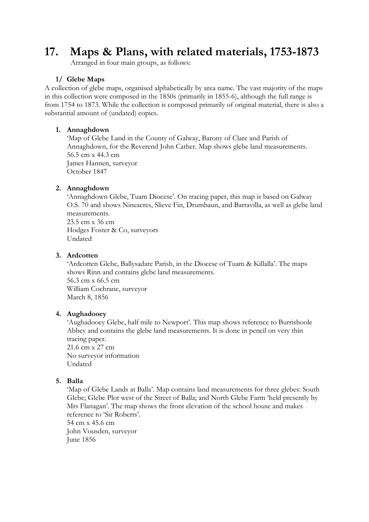# **17. Maps & Plans, with related materials, 1753-1873**

Arranged in four main groups, as follows:

### **1/ Glebe Maps**

A collection of glebe maps, organised alphabetically by area name. The vast majority of the maps in this collection were composed in the 1850s (primarily in 1855-6), although the full range is from 1754 to 1873. While the collection is composed primarily of original material, there is also a substantial amount of (undated) copies.

### **1. Annaghdown**

'Map of Glebe Land in the County of Galway, Barony of Clare and Parish of Annaghdown, for the Reverend John Cather. Map shows glebe land measurements. 56.5 cm x 44.3 cm James Hannen, surveyor October 1847

### **2. Annaghdown**

'Annaghdown Glebe, Tuam Diocese'. On tracing paper, this map is based on Galway O.S. 70 and shows Nineacres, Slieve Fin, Drumbaun, and Barravilla, as well as glebe land measurements.

23.5 cm x 36 cm Hodges Foster & Co, surveyors Undated

### **3. Ardcotten**

'Ardcotten Glebe, Ballysadare Parish, in the Diocese of Tuam & Killalla'. The maps shows Rinn and contains glebe land measurements. 56.3 cm x 66.5 cm William Cochrane, surveyor March 8, 1856

### **4. Aughadooey**

'Aughadooey Glebe, half mile to Newport'. This map shows reference to Burrishoole Abbey and contains the glebe land measurements. It is done in pencil on very thin tracing paper. 21.6 cm x 27 cm

No surveyor information Undated

### **5. Balla**

'Map of Glebe Lands at Balla'. Map contains land measurements for three glebes: South Glebe; Glebe Plot west of the Street of Balla; and North Glebe Farm 'held presently by Mrs Flanagan'. The map shows the front elevation of the school house and makes reference to 'Sir Roberts'. 54 cm x 45.6 cm John Vousden, surveyor

June 1856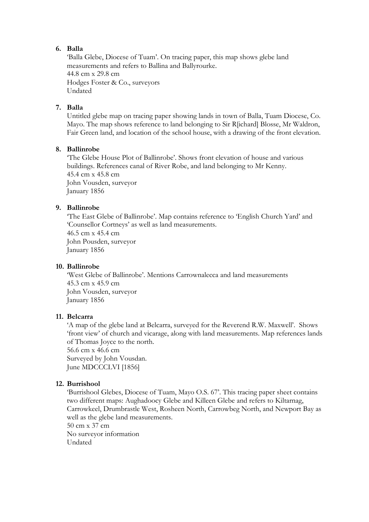### **6. Balla**

'Balla Glebe, Diocese of Tuam'. On tracing paper, this map shows glebe land measurements and refers to Ballina and Ballyrourke. 44.8 cm x 29.8 cm Hodges Foster & Co., surveyors Undated

### **7. Balla**

Untitled glebe map on tracing paper showing lands in town of Balla, Tuam Diocese, Co. Mayo. The map shows reference to land belonging to Sir R[ichard] Blosse, Mr Waldron, Fair Green land, and location of the school house, with a drawing of the front elevation.

### **8. Ballinrobe**

'The Glebe House Plot of Ballinrobe'. Shows front elevation of house and various buildings. References canal of River Robe, and land belonging to Mr Kenny. 45.4 cm x 45.8 cm John Vousden, surveyor January 1856

### **9. Ballinrobe**

'The East Glebe of Ballinrobe'. Map contains reference to 'English Church Yard' and 'Counsellor Cortneys' as well as land measurements. 46.5 cm x 45.4 cm John Pousden, surveyor January 1856

#### **10. Ballinrobe**

'West Glebe of Ballinrobe'. Mentions Carrownalecca and land measurements 45.3 cm x 45.9 cm John Vousden, surveyor January 1856

#### **11. Belcarra**

'A map of the glebe land at Belcarra, surveyed for the Reverend R.W. Maxwell'. Shows 'front view' of church and vicarage, along with land measurements. Map references lands of Thomas Joyce to the north.

56.6 cm x 46.6 cm Surveyed by John Vousdan. June MDCCCLVI [1856]

### **12. Burrishool**

'Burrishool Glebes, Diocese of Tuam, Mayo O.S. 67'. This tracing paper sheet contains two different maps: Aughadoocy Glebe and Killeen Glebe and refers to Kiltarnag, Carrowkeel, Drumbrastle West, Rosheen North, Carrowbeg North, and Newport Bay as well as the glebe land measurements. 50 cm x 37 cm

No surveyor information Undated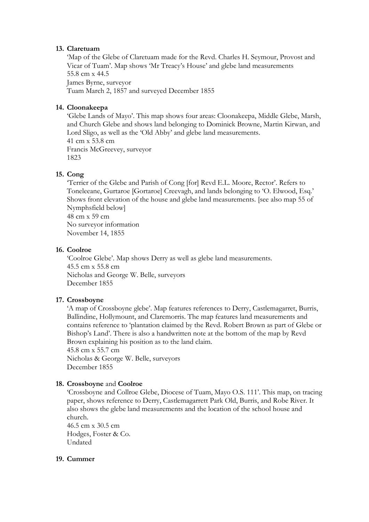#### **13. Claretuam**

'Map of the Glebe of Claretuam made for the Revd. Charles H. Seymour, Provost and Vicar of Tuam'. Map shows 'Mr Treacy's House' and glebe land measurements 55.8 cm x 44.5 James Byrne, surveyor Tuam March 2, 1857 and surveyed December 1855

### **14. Cloonakeepa**

'Glebe Lands of Mayo'. This map shows four areas: Cloonakeepa, Middle Glebe, Marsh, and Church Glebe and shows land belonging to Dominick Browne, Martin Kirwan, and Lord Sligo, as well as the 'Old Abby' and glebe land measurements. 41 cm x 53.8 cm Francis McGreevey, surveyor 1823

### **15. Cong**

'Terrier of the Glebe and Parish of Cong [for] Revd E.L. Moore, Rector'. Refers to Toneleeane, Gurtaroe [Gortaroe] Creevagh, and lands belonging to 'O. Elwood, Esq.' Shows front elevation of the house and glebe land measurements. [see also map 55 of Nymphsfield below] 48 cm x 59 cm

No surveyor information November 14, 1855

#### **16. Coolroe**

'Coolroe Glebe'. Map shows Derry as well as glebe land measurements. 45.5 cm x 55.8 cm Nicholas and George W. Belle, surveyors December 1855

#### **17. Crossboyne**

'A map of Crossboyne glebe'. Map features references to Derry, Castlemagarret, Burris, Ballindine, Hollymount, and Claremorris. The map features land measurements and contains reference to 'plantation claimed by the Revd. Robert Brown as part of Glebe or Bishop's Land'. There is also a handwritten note at the bottom of the map by Revd Brown explaining his position as to the land claim. 45.8 cm x 55.7 cm

Nicholas & George W. Belle, surveyors December 1855

#### **18. Crossboyne** and **Coolroe**

'Crossboyne and Collroe Glebe, Diocese of Tuam, Mayo O.S. 111'. This map, on tracing paper, shows reference to Derry, Castlemagarrett Park Old, Burris, and Robe River. It also shows the glebe land measurements and the location of the school house and church.

46.5 cm x 30.5 cm Hodges, Foster & Co. Undated

#### **19. Cummer**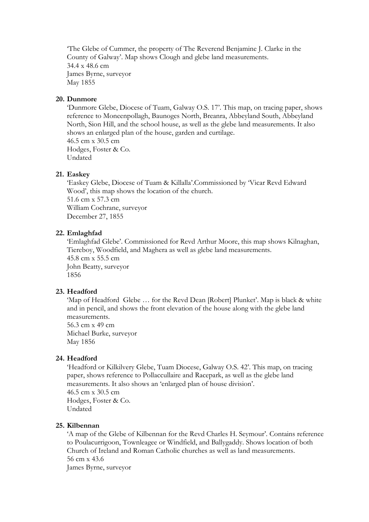'The Glebe of Cummer, the property of The Reverend Benjamine J. Clarke in the County of Galway'. Map shows Clough and glebe land measurements. 34.4 x 48.6 cm James Byrne, surveyor May 1855

#### **20. Dunmore**

'Dunmore Glebe, Diocese of Tuam, Galway O.S. 17'. This map, on tracing paper, shows reference to Moneenpollagh, Baunoges North, Breanra, Abbeyland South, Abbeyland North, Sion Hill, and the school house, as well as the glebe land measurements. It also shows an enlarged plan of the house, garden and curtilage. 46.5 cm x 30.5 cm Hodges, Foster & Co. Undated

#### **21. Easkey**

'Easkey Glebe, Diocese of Tuam & Killalla'.Commissioned by 'Vicar Revd Edward Wood', this map shows the location of the church. 51.6 cm x 57.3 cm William Cochrane, surveyor December 27, 1855

#### **22. Emlaghfad**

'Emlaghfad Glebe'. Commissioned for Revd Arthur Moore, this map shows Kilnaghan, Tiereboy, Woodfield, and Maghera as well as glebe land measurements. 45.8 cm x 55.5 cm John Beatty, surveyor 1856

### **23. Headford**

'Map of Headford Glebe … for the Revd Dean [Robert] Plunket'. Map is black & white and in pencil, and shows the front elevation of the house along with the glebe land measurements. 56.3 cm x 49 cm

Michael Burke, surveyor May 1856

#### **24. Headford**

'Headford or Kilkilvery Glebe, Tuam Diocese, Galway O.S. 42'. This map, on tracing paper, shows reference to Pollaccullaire and Racepark, as well as the glebe land measurements. It also shows an 'enlarged plan of house division'. 46.5 cm x 30.5 cm Hodges, Foster & Co. Undated

#### **25. Kilbennan**

'A map of the Glebe of Kilbennan for the Revd Charles H. Seymour'. Contains reference to Poulacurrigoon, Townleagee or Windfield, and Ballygaddy. Shows location of both Church of Ireland and Roman Catholic churches as well as land measurements. 56 cm x 43.6 James Byrne, surveyor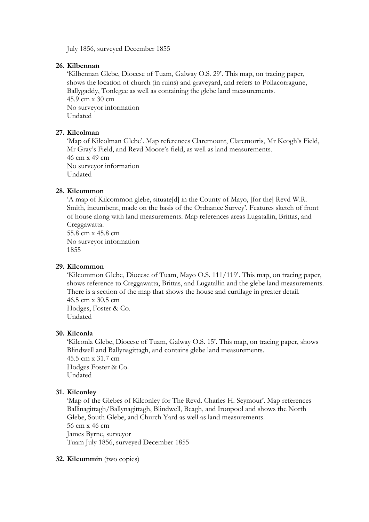July 1856, surveyed December 1855

#### **26. Kilbennan**

'Kilbennan Glebe, Diocese of Tuam, Galway O.S. 29'. This map, on tracing paper, shows the location of church (in ruins) and graveyard, and refers to Pollacorragune, Ballygaddy, Tonlegee as well as containing the glebe land measurements. 45.9 cm x 30 cm No surveyor information Undated

### **27. Kilcolman**

'Map of Kilcolman Glebe'. Map references Claremount, Claremorris, Mr Keogh's Field, Mr Gray's Field, and Revd Moore's field, as well as land measurements. 46 cm x 49 cm No surveyor information Undated

### **28. Kilcommon**

'A map of Kilcommon glebe, situate[d] in the County of Mayo, [for the] Revd W.R. Smith, incumbent, made on the basis of the Ordnance Survey'. Features sketch of front of house along with land measurements. Map references areas Lugatallin, Brittas, and Creggawatta.

55.8 cm x 45.8 cm No surveyor information 1855

#### **29. Kilcommon**

'Kilcommon Glebe, Diocese of Tuam, Mayo O.S. 111/119'. This map, on tracing paper, shows reference to Creggawatta, Brittas, and Lugatallin and the glebe land measurements. There is a section of the map that shows the house and curtilage in greater detail. 46.5 cm x 30.5 cm Hodges, Foster & Co.

Undated

#### **30. Kilconla**

'Kilconla Glebe, Diocese of Tuam, Galway O.S. 15'. This map, on tracing paper, shows Blindwell and Ballynagittagh, and contains glebe land measurements. 45.5 cm x 31.7 cm Hodges Foster & Co. Undated

### **31. Kilconley**

'Map of the Glebes of Kilconley for The Revd. Charles H. Seymour'. Map references Ballinagittagh/Ballynagittagh, Blindwell, Beagh, and Ironpool and shows the North Glebe, South Glebe, and Church Yard as well as land measurements. 56 cm x 46 cm James Byrne, surveyor Tuam July 1856, surveyed December 1855

#### **32. Kilcummin** (two copies)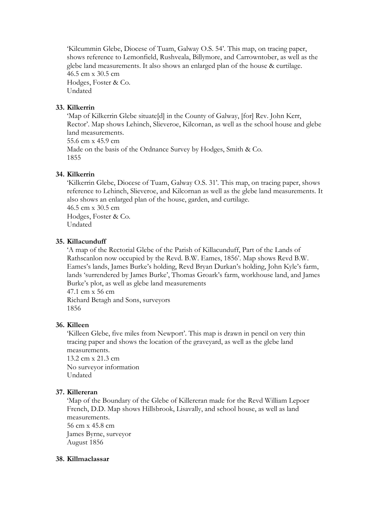'Kilcummin Glebe, Diocese of Tuam, Galway O.S. 54'. This map, on tracing paper, shows reference to Lemonfield, Rushveala, Billymore, and Carrowntober, as well as the glebe land measurements. It also shows an enlarged plan of the house & curtilage. 46.5 cm x 30.5 cm Hodges, Foster & Co. Undated

### **33. Kilkerrin**

'Map of Kilkerrin Glebe situate[d] in the County of Galway, [for] Rev. John Kerr, Rector'. Map shows Lehinch, Slieveroe, Kilcornan, as well as the school house and glebe land measurements. 55.6 cm x 45.9 cm Made on the basis of the Ordnance Survey by Hodges, Smith & Co. 1855

### **34. Kilkerrin**

'Kilkerrin Glebe, Diocese of Tuam, Galway O.S. 31'. This map, on tracing paper, shows reference to Lehinch, Slieveroe, and Kilcornan as well as the glebe land measurements. It also shows an enlarged plan of the house, garden, and curtilage.

46.5 cm x 30.5 cm Hodges, Foster & Co. Undated

#### **35. Killacunduff**

'A map of the Rectorial Glebe of the Parish of Killacunduff, Part of the Lands of Rathscanlon now occupied by the Revd. B.W. Eames, 1856'. Map shows Revd B.W. Eames's lands, James Burke's holding, Revd Bryan Durkan's holding, John Kyle's farm, lands 'surrendered by James Burke', Thomas Groark's farm, workhouse land, and James Burke's plot, as well as glebe land measurements 47.1 cm x 56 cm

Richard Betagh and Sons, surveyors 1856

#### **36. Killeen**

'Killeen Glebe, five miles from Newport'. This map is drawn in pencil on very thin tracing paper and shows the location of the graveyard, as well as the glebe land measurements.

13.2 cm x 21.3 cm No surveyor information Undated

### **37. Killereran**

'Map of the Boundary of the Glebe of Killereran made for the Revd William Lepoer French, D.D. Map shows Hillsbrook, Lisavally, and school house, as well as land measurements. 56 cm x 45.8 cm

James Byrne, surveyor August 1856

#### **38. Killmaclassar**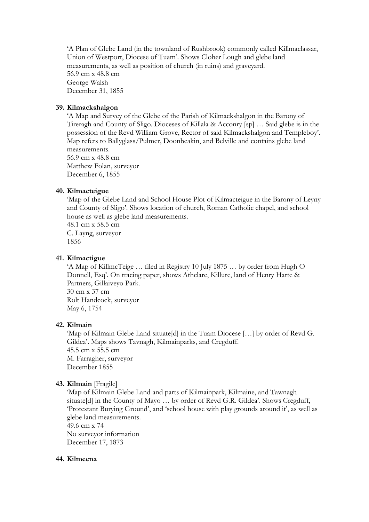'A Plan of Glebe Land (in the townland of Rushbrook) commonly called Killmaclassar, Union of Westport, Diocese of Tuam'. Shows Cloher Lough and glebe land measurements, as well as position of church (in ruins) and graveyard. 56.9 cm x 48.8 cm George Walsh December 31, 1855

### **39. Kilmackshalgon**

'A Map and Survey of the Glebe of the Parish of Kilmackshalgon in the Barony of Tireragh and County of Sligo. Dioceses of Killala & Acconry [sp] … Said glebe is in the possession of the Revd William Grove, Rector of said Kilmackshalgon and Templeboy'. Map refers to Ballyglass/Pulmer, Doonbeakin, and Belville and contains glebe land measurements.

56.9 cm x 48.8 cm Matthew Folan, surveyor December 6, 1855

#### **40. Kilmacteigue**

'Map of the Glebe Land and School House Plot of Kilmacteigue in the Barony of Leyny and County of Sligo'. Shows location of church, Roman Catholic chapel, and school house as well as glebe land measurements.

48.1 cm x 58.5 cm C. Layng, surveyor 1856

### **41. Kilmactigue**

'A Map of KillmcTeige … filed in Registry 10 July 1875 … by order from Hugh O Donnell, Esq'. On tracing paper, shows Athclare, Killure, land of Henry Harte & Partners, Gillaiveyo Park. 30 cm x 37 cm

Rolt Handcock, surveyor May 6, 1754

#### **42. Kilmain**

'Map of Kilmain Glebe Land situate[d] in the Tuam Diocese […] by order of Revd G. Gildea'. Maps shows Tavnagh, Kilmainparks, and Cregduff. 45.5 cm x 55.5 cm M. Farragher, surveyor December 1855

### **43. Kilmain** [Fragile]

'Map of Kilmain Glebe Land and parts of Kilmainpark, Kilmaine, and Tawnagh situate[d] in the County of Mayo ... by order of Revd G.R. Gildea'. Shows Cregduff, 'Protestant Burying Ground', and 'school house with play grounds around it', as well as glebe land measurements.

49.6 cm x 74 No surveyor information December 17, 1873

#### **44. Kilmeena**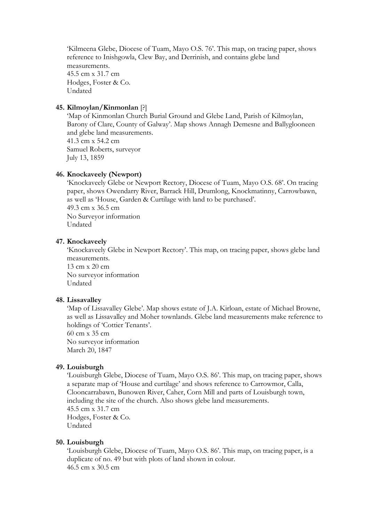'Kilmeena Glebe, Diocese of Tuam, Mayo O.S. 76'. This map, on tracing paper, shows reference to Inishgowla, Clew Bay, and Derrinish, and contains glebe land measurements. 45.5 cm x 31.7 cm Hodges, Foster & Co. Undated

#### **45. Kilmoylan/Kinmonlan** [?]

'Map of Kinmonlan Church Burial Ground and Glebe Land, Parish of Kilmoylan, Barony of Clare, County of Galway'. Map shows Annagh Demesne and Ballyglooneen and glebe land measurements. 41.3 cm x 54.2 cm Samuel Roberts, surveyor July 13, 1859

### **46. Knockaveely (Newport)**

'Knockaveely Glebe or Newport Rectory, Diocese of Tuam, Mayo O.S. 68'. On tracing paper, shows Owendarry River, Barrack Hill, Drumlong, Knockmatinny, Carrowbawn, as well as 'House, Garden & Curtilage with land to be purchased'. 49.3 cm x 36.5 cm No Surveyor information Undated

#### **47. Knockaveely**

'Knockaveely Glebe in Newport Rectory'. This map, on tracing paper, shows glebe land measurements.

13 cm x 20 cm No surveyor information Undated

#### **48. Lissavalley**

'Map of Lissavalley Glebe'. Map shows estate of J.A. Kirloan, estate of Michael Browne, as well as Lissavalley and Moher townlands. Glebe land measurements make reference to holdings of 'Cottier Tenants'.

60 cm x 35 cm No surveyor information March 20, 1847

#### **49. Louisburgh**

'Louisburgh Glebe, Diocese of Tuam, Mayo O.S. 86'. This map, on tracing paper, shows a separate map of 'House and curtilage' and shows reference to Carrowmor, Calla, Clooncarrabawn, Bunowen River, Caher, Corn Mill and parts of Louisburgh town, including the site of the church. Also shows glebe land measurements. 45.5 cm x 31.7 cm Hodges, Foster & Co. Undated

#### **50. Louisburgh**

'Louisburgh Glebe, Diocese of Tuam, Mayo O.S. 86'. This map, on tracing paper, is a duplicate of no. 49 but with plots of land shown in colour. 46.5 cm x 30.5 cm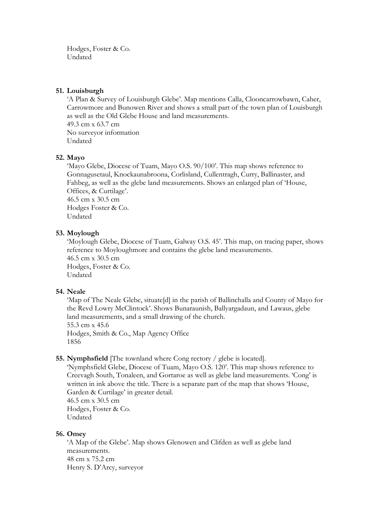Hodges, Foster & Co. Undated

### **51. Louisburgh**

'A Plan & Survey of Louisburgh Glebe'. Map mentions Calla, Clooncarrowbawn, Caher, Carrowmore and Bunowen River and shows a small part of the town plan of Louisburgh as well as the Old Glebe House and land measurements. 49.3 cm x 63.7 cm No surveyor information Undated

### **52. Mayo**

'Mayo Glebe, Diocese of Tuam, Mayo O.S. 90/100'. This map shows reference to Gonnagusetaul, Knockaunabroona, Corlisland, Cullentragh, Curry, Ballinaster, and Fahbeg, as well as the glebe land measurements. Shows an enlarged plan of 'House, Offices, & Curtilage'. 46.5 cm x 30.5 cm

Hodges Foster & Co. Undated

### **53. Moylough**

'Moylough Glebe, Diocese of Tuam, Galway O.S. 45'. This map, on tracing paper, shows reference to Moyloughmore and contains the glebe land measurements. 46.5 cm x 30.5 cm Hodges, Foster & Co. Undated

#### **54. Neale**

'Map of The Neale Glebe, situate[d] in the parish of Ballinchalla and County of Mayo for the Revd Lowry McClintock'. Shows Bunaraunish, Ballyargadaun, and Lawaus, glebe land measurements, and a small drawing of the church. 55.3 cm x 45.6 Hodges, Smith & Co., Map Agency Office 1856

### **55. Nymphsfield** [The townland where Cong rectory / glebe is located].

'Nymphsfield Glebe, Diocese of Tuam, Mayo O.S. 120'. This map shows reference to Creevagh South, Tonaleen, and Gortaroe as well as glebe land measurements. 'Cong' is written in ink above the title. There is a separate part of the map that shows 'House, Garden & Curtilage' in greater detail. 46.5 cm x 30.5 cm

Hodges, Foster & Co. Undated

#### **56. Omey**

'A Map of the Glebe'. Map shows Glenowen and Clifden as well as glebe land measurements. 48 cm x 75.2 cm Henry S. D'Arcy, surveyor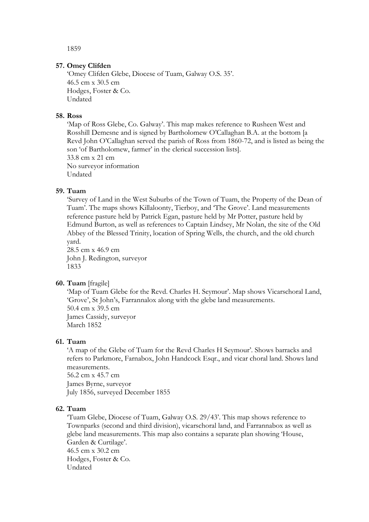1859

#### **57. Omey Clifden**

'Omey Clifden Glebe, Diocese of Tuam, Galway O.S. 35'. 46.5 cm x 30.5 cm Hodges, Foster & Co. Undated

#### **58. Ross**

'Map of Ross Glebe, Co. Galway'. This map makes reference to Rusheen West and Rosshill Demesne and is signed by Bartholomew O'Callaghan B.A. at the bottom [a Revd John O'Callaghan served the parish of Ross from 1860-72, and is listed as being the son 'of Bartholomew, farmer' in the clerical succession lists]. 33.8 cm x 21 cm No surveyor information Undated

#### **59. Tuam**

'Survey of Land in the West Suburbs of the Town of Tuam, the Property of the Dean of Tuam'. The maps shows Killaloonty, Tierboy, and 'The Grove'. Land measurements reference pasture held by Patrick Egan, pasture held by Mr Potter, pasture held by Edmund Burton, as well as references to Captain Lindsey, Mr Nolan, the site of the Old Abbey of the Blessed Trinity, location of Spring Wells, the church, and the old church yard.

28.5 cm x 46.9 cm John J. Redington, surveyor 1833

#### **60. Tuam** [fragile]

'Map of Tuam Glebe for the Revd. Charles H. Seymour'. Map shows Vicarschoral Land, 'Grove', St John's, Farrannalox along with the glebe land measurements. 50.4 cm x 39.5 cm James Cassidy, surveyor March 1852

#### **61. Tuam**

'A map of the Glebe of Tuam for the Revd Charles H Seymour'. Shows barracks and refers to Parkmore, Farnabox, John Handcock Esqr., and vicar choral land. Shows land measurements. 56.2 cm x 45.7 cm James Byrne, surveyor

July 1856, surveyed December 1855

#### **62. Tuam**

'Tuam Glebe, Diocese of Tuam, Galway O.S. 29/43'. This map shows reference to Townparks (second and third division), vicarschoral land, and Farrannabox as well as glebe land measurements. This map also contains a separate plan showing 'House, Garden & Curtilage'. 46.5 cm x 30.2 cm Hodges, Foster & Co. Undated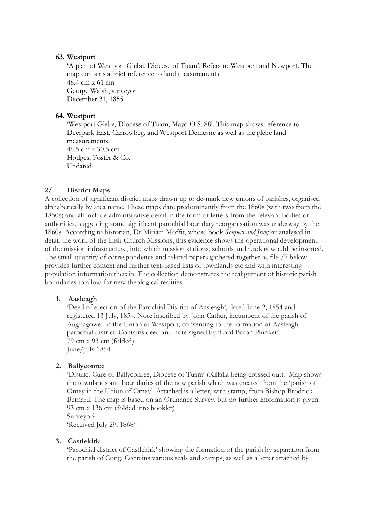#### **63. Westport**

'A plan of Westport Glebe, Diocese of Tuam'. Refers to Westport and Newport. The map contains a brief reference to land measurements. 48.4 cm x 61 cm George Walsh, surveyor December 31, 1855

### **64. Westport**

'Westport Glebe, Diocese of Tuam, Mayo O.S. 88'. This map shows reference to Deerpark East, Carrowbeg, and Westport Demesne as well as the glebe land measurements. 46.5 cm x 30.5 cm Hodges, Foster & Co. Undated

### **2/ District Maps**

A collection of significant district maps drawn up to de-mark new unions of parishes, organised alphabetically by area name. These maps date predominantly from the 1860s (with two from the 1850s) and all include administrative detail in the form of letters from the relevant bodies or authorities, suggesting some significant parochial boundary reorganisation was underway by the 1860s. According to historian, Dr Miriam Moffit, whose book *Soupers and Jumpers* analysed in detail the work of the Irish Church Missions, this evidence shows the operational development of the mission infrastructure, into which mission stations, schools and readers would be inserted. The small quantity of correspondence and related papers gathered together as file /7 below provides further context and further text-based lists of townlands etc and with interesting population information therein. The collection demonstrates the realignment of historic parish boundaries to allow for new theological realities.

#### **1. Aasleagh**

'Deed of erection of the Parochial District of Aasleagh', dated June 2, 1854 and registered 13 July, 1854. Note inscribed by John Cather, incumbent of the parish of Aughagower in the Union of Westport, consenting to the formation of Aasleagh parochial district. Contains deed and note signed by 'Lord Baron Plunket'. 79 cm x 93 cm (folded) June/July 1854

#### **2. Ballyconree**

'District Cure of Ballyconree, Diocese of Tuam' (Killalla being crossed out). Map shows the townlands and boundaries of the new parish which was created from the 'parish of Omey in the Union of Omey'. Attached is a letter, with stamp, from Bishop Brodrick Bernard. The map is based on an Ordnance Survey, but no further information is given. 93 cm x 136 cm (folded into booklet) Surveyor?

'Received July 29, 1868'.

#### **3. Castlekirk**

'Parochial district of Castlekirk' showing the formation of the parish by separation from the parish of Cong. Contains various seals and stamps, as well as a letter attached by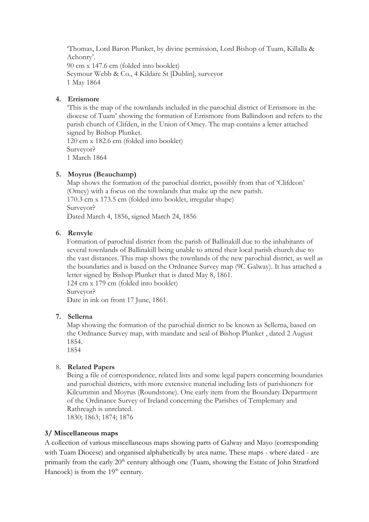'Thomas, Lord Baron Plunket, by divine permission, Lord Bishop of Tuam, Killalla & Achonry'. 90 cm x 147.6 cm (folded into booklet) Seymour Webb & Co., 4 Kildare St [Dublin], surveyor 1 May 1864

### **4. Errismore**

'This is the map of the townlands included in the parochial district of Errismore in the diocese of Tuam' showing the formation of Errismore from Ballindoon and refers to the parish church of Clifden, in the Union of Omey. The map contains a letter attached signed by Bishop Plunket. 120 cm x 182.6 cm (folded into booklet) Surveyor?

1 March 1864

### **5. Moyrus (Beauchamp)**

Map shows the formation of the parochial district, possibly from that of 'Clifdeon' (Omey) with a focus on the townlands that make up the new parish. 170.3 cm x 173.5 cm (folded into booklet, irregular shape) Surveyor? Dated March 4, 1856, signed March 24, 1856

### **6. Renvyle**

Formation of parochial district from the parish of Ballinakill due to the inhabitants of several townlands of Ballinakill being unable to attend their local parish church due to the vast distances. This map shows the townlands of the new parochial district, as well as the boundaries and is based on the Ordnance Survey map (9C Galway). It has attached a letter signed by Bishop Plunket that is dated May 8, 1861.

124 cm x 179 cm (folded into booklet) Surveyor?

Date in ink on front 17 June, 1861.

### **7. Sellerna**

Map showing the formation of the parochial district to be known as Sellerna, based on the Ordnance Survey map, with mandate and seal of Bishop Plunket , dated 2 August 1854.

1854

### 8. **Related Papers**

Being a file of correspondence, related lists and some legal papers concerning boundaries and parochial districts, with more extensive material including lists of parishioners for Kilcummin and Moyrus (Roundstone). One early item from the Boundary Department of the Ordinance Survey of Ireland concerning the Parishes of Templemary and Rathreagh is unrelated. 1830; 1863; 1874; 1876

### **3/ Miscellaneous maps**

A collection of various miscellaneous maps showing parts of Galway and Mayo (corresponding with Tuam Diocese) and organised alphabetically by area name. These maps - where dated - are primarily from the early  $20<sup>th</sup>$  century although one (Tuam, showing the Estate of John Stratford Hancock) is from the  $19<sup>th</sup>$  century.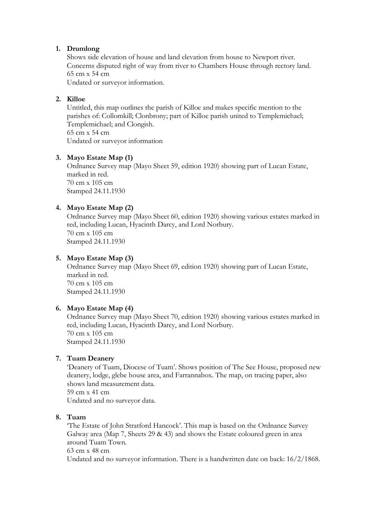### **1. Drumlong**

Shows side elevation of house and land elevation from house to Newport river. Concerns disputed right of way from river to Chambers House through rectory land. 65 cm x 54 cm

Undated or surveyor information.

### **2. Killoe**

Untitled, this map outlines the parish of Killoe and makes specific mention to the parishes of: Collomkill; Clonbrony; part of Killoe parish united to Templemichael; Templemichael; and Clongish. 65 cm x 54 cm

Undated or surveyor information

### **3. Mayo Estate Map (1)**

Ordnance Survey map (Mayo Sheet 59, edition 1920) showing part of Lucan Estate, marked in red. 70 cm x 105 cm Stamped 24.11.1930

### **4. Mayo Estate Map (2)**

Ordnance Survey map (Mayo Sheet 60, edition 1920) showing various estates marked in red, including Lucan, Hyacinth Darcy, and Lord Norbury. 70 cm x 105 cm Stamped 24.11.1930

### **5. Mayo Estate Map (3)**

Ordnance Survey map (Mayo Sheet 69, edition 1920) showing part of Lucan Estate, marked in red. 70 cm x 105 cm Stamped 24.11.1930

### **6. Mayo Estate Map (4)**

Ordnance Survey map (Mayo Sheet 70, edition 1920) showing various estates marked in red, including Lucan, Hyacinth Darcy, and Lord Norbury. 70 cm x 105 cm Stamped 24.11.1930

### **7. Tuam Deanery**

'Deanery of Tuam, Diocese of Tuam'. Shows position of The See House, proposed new deanery, lodge, glebe house area, and Farrannabox. The map, on tracing paper, also shows land measurement data. 59 cm x 41 cm

Undated and no surveyor data.

### **8. Tuam**

'The Estate of John Stratford Hancock'. This map is based on the Ordnance Survey Galway area (Map 7, Sheets 29 & 43) and shows the Estate coloured green in area around Tuam Town. 63 cm x 48 cm Undated and no surveyor information. There is a handwritten date on back: 16/2/1868.